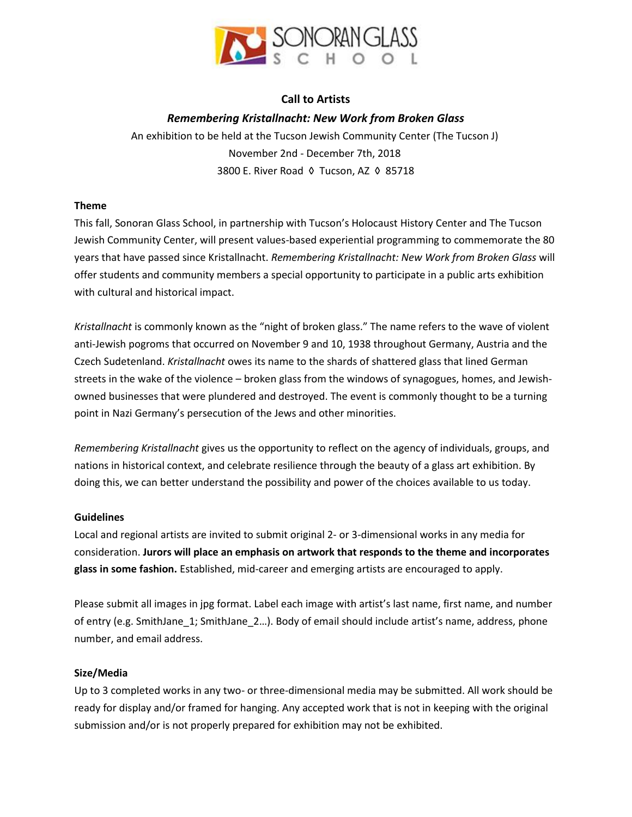

# **Call to Artists**

# *Remembering Kristallnacht: New Work from Broken Glass*

An exhibition to be held at the Tucson Jewish Community Center (The Tucson J) November 2nd - December 7th, 2018 3800 E. River Road ◊ Tucson, AZ ◊ 85718

### **Theme**

This fall, Sonoran Glass School, in partnership with Tucson's Holocaust History Center and The Tucson Jewish Community Center, will present values-based experiential programming to commemorate the 80 years that have passed since Kristallnacht. *Remembering Kristallnacht: New Work from Broken Glass* will offer students and community members a special opportunity to participate in a public arts exhibition with cultural and historical impact.

*Kristallnacht* is commonly known as the "night of broken glass." The name refers to the wave of violent anti-Jewish pogroms that occurred on November 9 and 10, 1938 throughout Germany, Austria and the Czech Sudetenland. *Kristallnacht* owes its name to the shards of shattered glass that lined German streets in the wake of the violence – broken glass from the windows of synagogues, homes, and Jewishowned businesses that were plundered and destroyed. The event is commonly thought to be a turning point in Nazi Germany's persecution of the Jews and other minorities.

*Remembering Kristallnacht* gives us the opportunity to reflect on the agency of individuals, groups, and nations in historical context, and celebrate resilience through the beauty of a glass art exhibition. By doing this, we can better understand the possibility and power of the choices available to us today.

## **Guidelines**

Local and regional artists are invited to submit original 2- or 3-dimensional works in any media for consideration. **Jurors will place an emphasis on artwork that responds to the theme and incorporates glass in some fashion.** Established, mid-career and emerging artists are encouraged to apply.

Please submit all images in jpg format. Label each image with artist's last name, first name, and number of entry (e.g. SmithJane\_1; SmithJane\_2…). Body of email should include artist's name, address, phone number, and email address.

## **Size/Media**

Up to 3 completed works in any two- or three-dimensional media may be submitted. All work should be ready for display and/or framed for hanging. Any accepted work that is not in keeping with the original submission and/or is not properly prepared for exhibition may not be exhibited.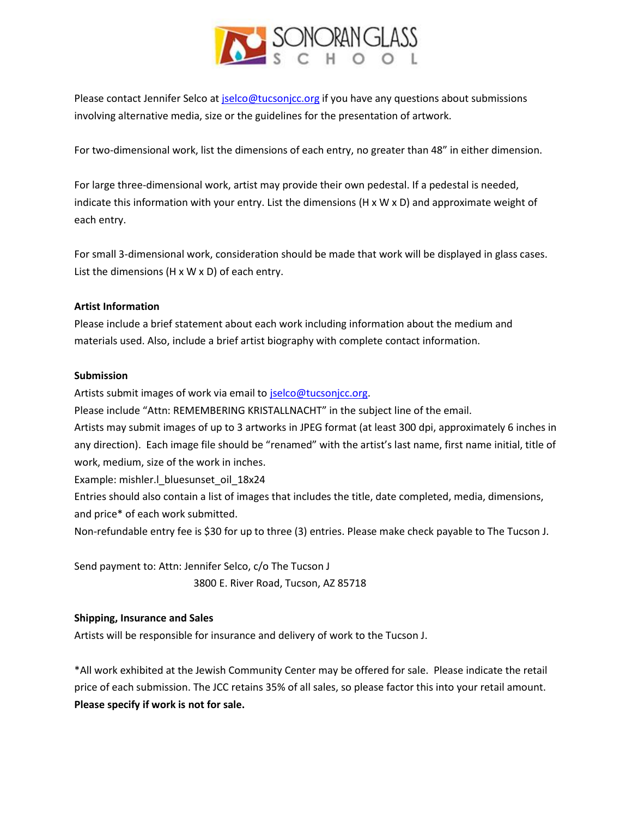

Please contact Jennifer Selco at [jselco@tucsonjcc.org](mailto:jselco@tucsonjcc.org) if you have any questions about submissions involving alternative media, size or the guidelines for the presentation of artwork.

For two-dimensional work, list the dimensions of each entry, no greater than 48" in either dimension.

For large three-dimensional work, artist may provide their own pedestal. If a pedestal is needed, indicate this information with your entry. List the dimensions  $(H \times W \times D)$  and approximate weight of each entry.

For small 3-dimensional work, consideration should be made that work will be displayed in glass cases. List the dimensions (H x W x D) of each entry.

### **Artist Information**

Please include a brief statement about each work including information about the medium and materials used. Also, include a brief artist biography with complete contact information.

#### **Submission**

Artists submit images of work via email to [jselco@tucsonjcc.org.](mailto:jselco@tucsonjcc.org)

Please include "Attn: REMEMBERING KRISTALLNACHT" in the subject line of the email.

Artists may submit images of up to 3 artworks in JPEG format (at least 300 dpi, approximately 6 inches in any direction). Each image file should be "renamed" with the artist's last name, first name initial, title of work, medium, size of the work in inches.

Example: mishler.l\_bluesunset\_oil\_18x24

Entries should also contain a list of images that includes the title, date completed, media, dimensions, and price\* of each work submitted.

Non-refundable entry fee is \$30 for up to three (3) entries. Please make check payable to The Tucson J.

Send payment to: Attn: Jennifer Selco, c/o The Tucson J

3800 E. River Road, Tucson, AZ 85718

### **Shipping, Insurance and Sales**

Artists will be responsible for insurance and delivery of work to the Tucson J.

\*All work exhibited at the Jewish Community Center may be offered for sale. Please indicate the retail price of each submission. The JCC retains 35% of all sales, so please factor this into your retail amount. **Please specify if work is not for sale.**